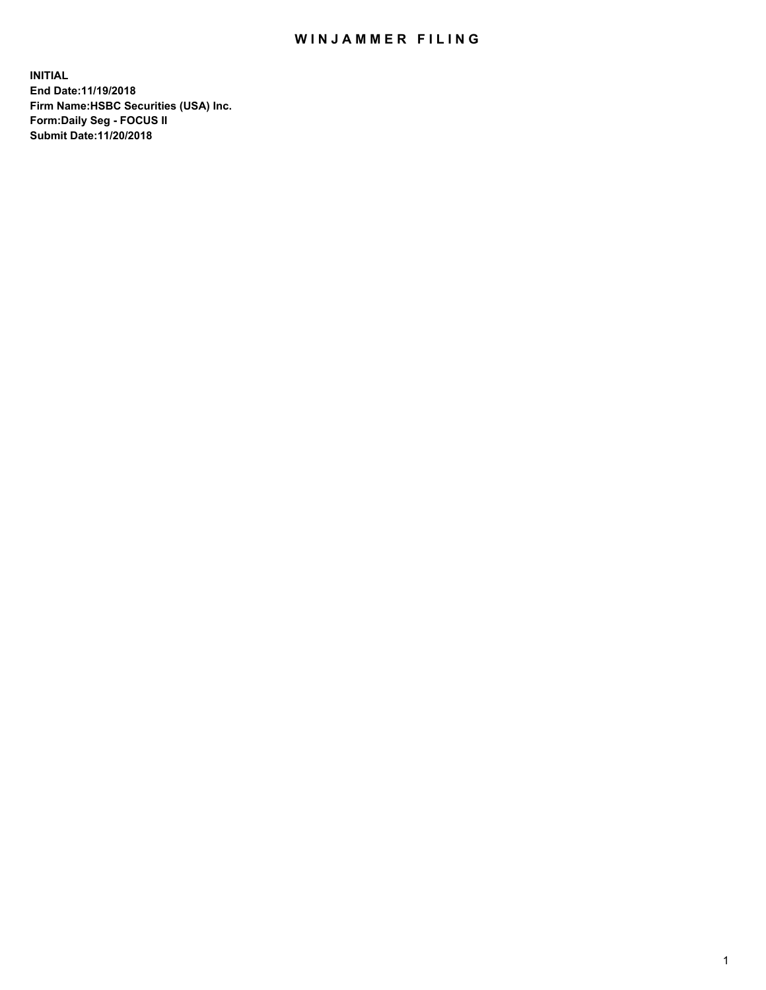## WIN JAMMER FILING

**INITIAL End Date:11/19/2018 Firm Name:HSBC Securities (USA) Inc. Form:Daily Seg - FOCUS II Submit Date:11/20/2018**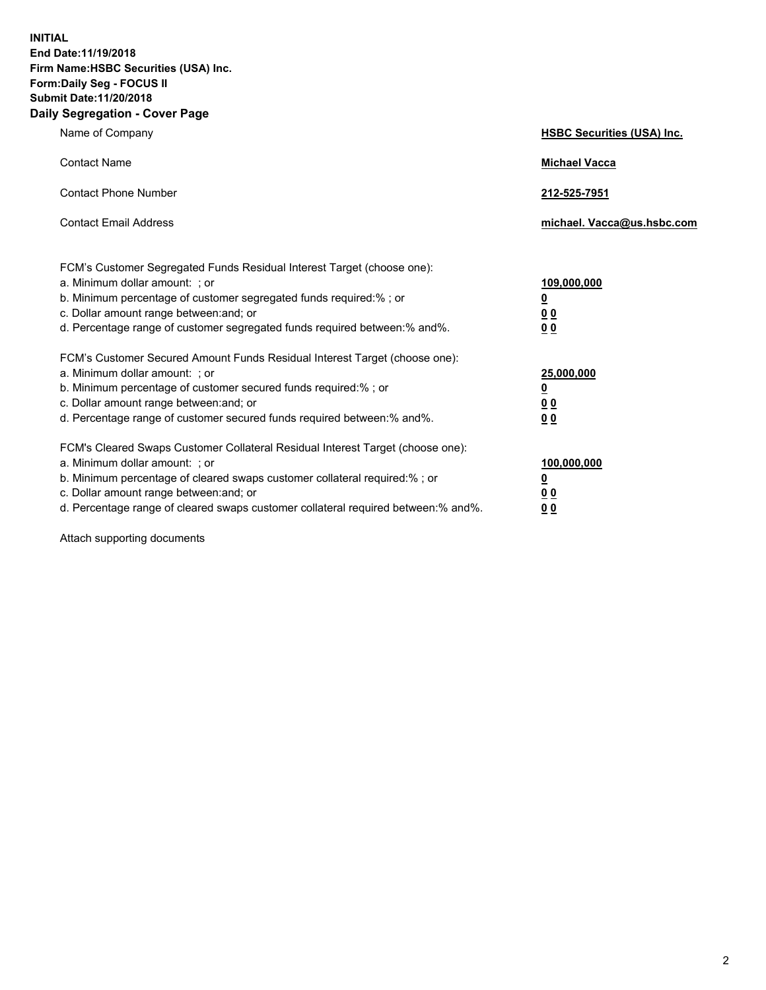**INITIAL End Date:11/19/2018 Firm Name:HSBC Securities (USA) Inc. Form:Daily Seg - FOCUS II Submit Date:11/20/2018 Daily Segregation - Cover Page**

| Name of Company                                                                                                                                                                                                                                                                                                                | <b>HSBC Securities (USA) Inc.</b>                          |
|--------------------------------------------------------------------------------------------------------------------------------------------------------------------------------------------------------------------------------------------------------------------------------------------------------------------------------|------------------------------------------------------------|
| <b>Contact Name</b>                                                                                                                                                                                                                                                                                                            | <b>Michael Vacca</b>                                       |
| <b>Contact Phone Number</b>                                                                                                                                                                                                                                                                                                    | 212-525-7951                                               |
| <b>Contact Email Address</b>                                                                                                                                                                                                                                                                                                   | michael. Vacca@us.hsbc.com                                 |
| FCM's Customer Segregated Funds Residual Interest Target (choose one):<br>a. Minimum dollar amount: ; or<br>b. Minimum percentage of customer segregated funds required:% ; or<br>c. Dollar amount range between: and; or<br>d. Percentage range of customer segregated funds required between:% and%.                         | 109,000,000<br><u>0</u><br><u>00</u><br>0 <sub>0</sub>     |
| FCM's Customer Secured Amount Funds Residual Interest Target (choose one):<br>a. Minimum dollar amount: ; or<br>b. Minimum percentage of customer secured funds required:%; or<br>c. Dollar amount range between: and; or<br>d. Percentage range of customer secured funds required between: % and %.                          | 25,000,000<br><u>0</u><br>0 <sup>0</sup><br>0 <sub>0</sub> |
| FCM's Cleared Swaps Customer Collateral Residual Interest Target (choose one):<br>a. Minimum dollar amount: ; or<br>b. Minimum percentage of cleared swaps customer collateral required:% ; or<br>c. Dollar amount range between: and; or<br>d. Percentage range of cleared swaps customer collateral required between:% and%. | 100,000,000<br><u>0</u><br>0 <sup>0</sup><br>00            |

Attach supporting documents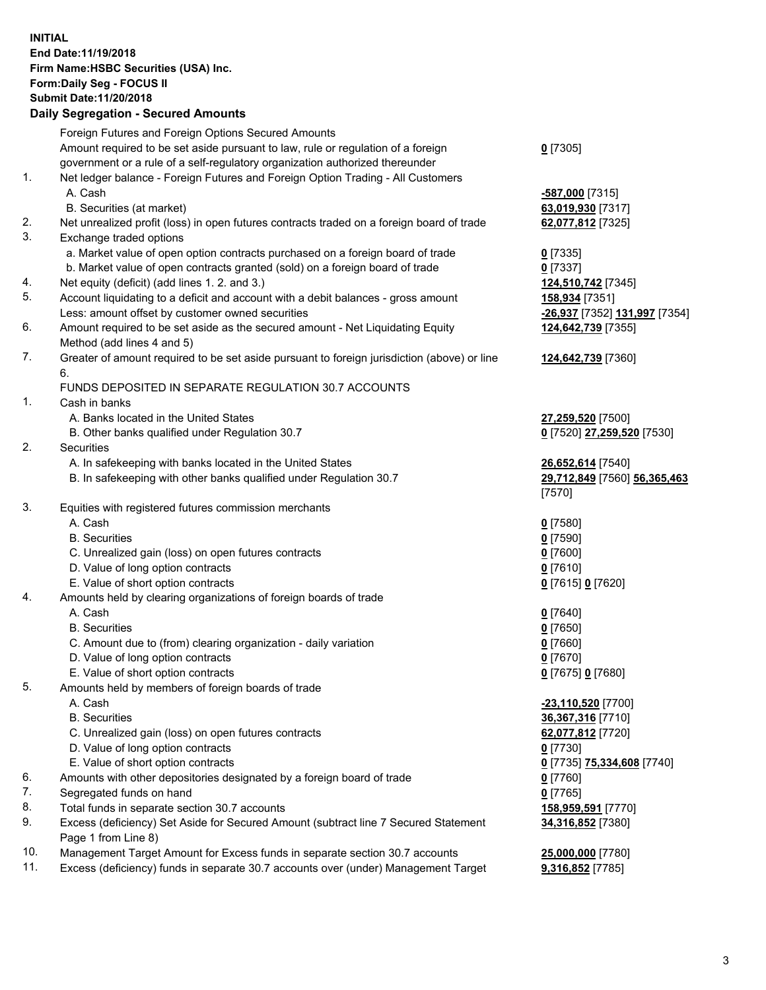**INITIAL End Date:11/19/2018 Firm Name:HSBC Securities (USA) Inc. Form:Daily Seg - FOCUS II Submit Date:11/20/2018 Daily Segregation - Secured Amounts** Foreign Futures and Foreign Options Secured Amounts Amount required to be set aside pursuant to law, rule or regulation of a foreign government or a rule of a self-regulatory organization authorized thereunder **0** [7305] 1. Net ledger balance - Foreign Futures and Foreign Option Trading - All Customers A. Cash **-587,000** [7315] B. Securities (at market) **63,019,930** [7317] 2. Net unrealized profit (loss) in open futures contracts traded on a foreign board of trade **62,077,812** [7325] 3. Exchange traded options a. Market value of open option contracts purchased on a foreign board of trade **0** [7335] b. Market value of open contracts granted (sold) on a foreign board of trade **0** [7337] 4. Net equity (deficit) (add lines 1. 2. and 3.) **124,510,742** [7345] 5. Account liquidating to a deficit and account with a debit balances - gross amount **158,934** [7351] Less: amount offset by customer owned securities **-26,937** [7352] **131,997** [7354] 6. Amount required to be set aside as the secured amount - Net Liquidating Equity Method (add lines 4 and 5) **124,642,739** [7355] 7. Greater of amount required to be set aside pursuant to foreign jurisdiction (above) or line 6. **124,642,739** [7360] FUNDS DEPOSITED IN SEPARATE REGULATION 30.7 ACCOUNTS 1. Cash in banks A. Banks located in the United States **27,259,520** [7500] B. Other banks qualified under Regulation 30.7 **0** [7520] **27,259,520** [7530] 2. Securities A. In safekeeping with banks located in the United States **26,652,614** [7540] B. In safekeeping with other banks qualified under Regulation 30.7 **29,712,849** [7560] **56,365,463** [7570] 3. Equities with registered futures commission merchants A. Cash **0** [7580] B. Securities **0** [7590] C. Unrealized gain (loss) on open futures contracts **0** [7600] D. Value of long option contracts **0** [7610] E. Value of short option contracts **0** [7615] **0** [7620] 4. Amounts held by clearing organizations of foreign boards of trade A. Cash **0** [7640] B. Securities **0** [7650] C. Amount due to (from) clearing organization - daily variation **0** [7660] D. Value of long option contracts **0** [7670] E. Value of short option contracts **0** [7675] **0** [7680] 5. Amounts held by members of foreign boards of trade A. Cash **-23,110,520** [7700] B. Securities **36,367,316** [7710] C. Unrealized gain (loss) on open futures contracts **62,077,812** [7720] D. Value of long option contracts **0** [7730] E. Value of short option contracts **0** [7735] **75,334,608** [7740] 6. Amounts with other depositories designated by a foreign board of trade **0** [7760] 7. Segregated funds on hand **0** [7765] 8. Total funds in separate section 30.7 accounts **158,959,591** [7770] 9. Excess (deficiency) Set Aside for Secured Amount (subtract line 7 Secured Statement Page 1 from Line 8) **34,316,852** [7380] 10. Management Target Amount for Excess funds in separate section 30.7 accounts **25,000,000** [7780]

11. Excess (deficiency) funds in separate 30.7 accounts over (under) Management Target **9,316,852** [7785]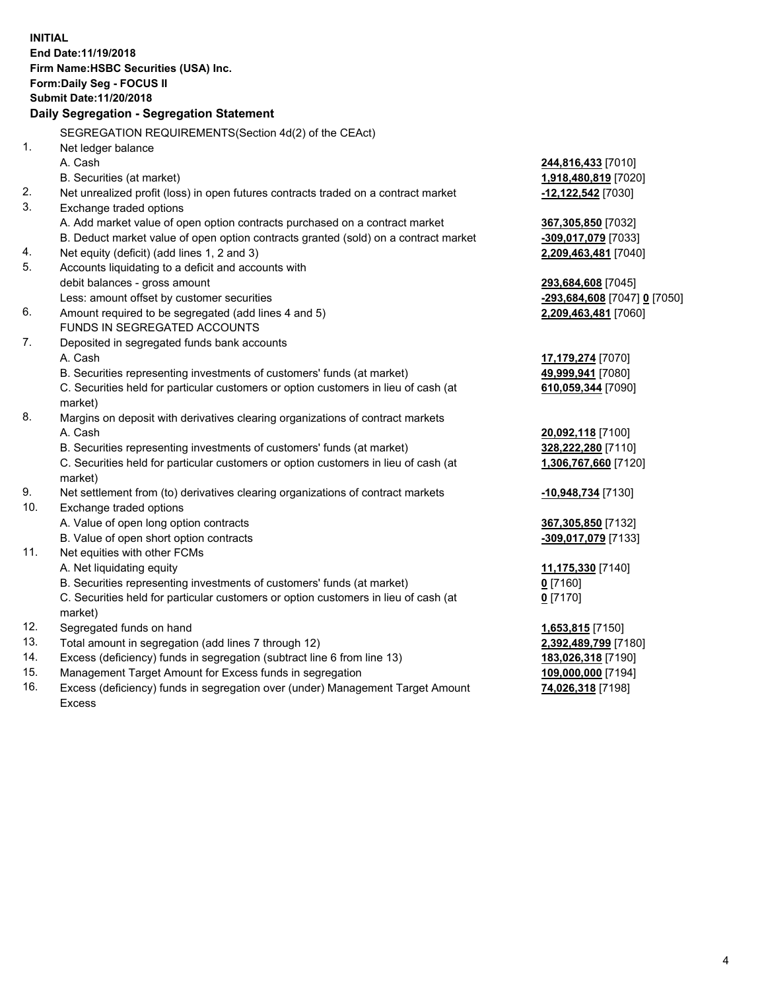|     | <b>INITIAL</b>                                                                      |                                                        |
|-----|-------------------------------------------------------------------------------------|--------------------------------------------------------|
|     | End Date: 11/19/2018                                                                |                                                        |
|     | Firm Name: HSBC Securities (USA) Inc.                                               |                                                        |
|     | Form: Daily Seg - FOCUS II                                                          |                                                        |
|     | Submit Date: 11/20/2018                                                             |                                                        |
|     | Daily Segregation - Segregation Statement                                           |                                                        |
|     | SEGREGATION REQUIREMENTS(Section 4d(2) of the CEAct)                                |                                                        |
| 1.  | Net ledger balance                                                                  |                                                        |
|     | A. Cash                                                                             | 244,816,433 [7010]                                     |
|     | B. Securities (at market)                                                           | 1,918,480,819 [7020]                                   |
| 2.  | Net unrealized profit (loss) in open futures contracts traded on a contract market  | -12,122,542 [7030]                                     |
| 3.  | Exchange traded options                                                             |                                                        |
|     | A. Add market value of open option contracts purchased on a contract market         | 367,305,850 [7032]                                     |
|     | B. Deduct market value of open option contracts granted (sold) on a contract market | -309,017,079 [7033]                                    |
| 4.  | Net equity (deficit) (add lines 1, 2 and 3)                                         | 2,209,463,481 [7040]                                   |
| 5.  | Accounts liquidating to a deficit and accounts with                                 |                                                        |
|     | debit balances - gross amount                                                       | 293,684,608 [7045]                                     |
|     | Less: amount offset by customer securities                                          | <mark>-293,684,608</mark> [7047] <mark>0</mark> [7050] |
| 6.  | Amount required to be segregated (add lines 4 and 5)                                | 2,209,463,481 [7060]                                   |
|     | FUNDS IN SEGREGATED ACCOUNTS                                                        |                                                        |
| 7.  | Deposited in segregated funds bank accounts                                         |                                                        |
|     | A. Cash                                                                             | 17,179,274 [7070]                                      |
|     | B. Securities representing investments of customers' funds (at market)              | 49,999,941 [7080]                                      |
|     | C. Securities held for particular customers or option customers in lieu of cash (at | 610,059,344 [7090]                                     |
|     | market)                                                                             |                                                        |
| 8.  | Margins on deposit with derivatives clearing organizations of contract markets      |                                                        |
|     | A. Cash                                                                             | 20,092,118 [7100]                                      |
|     | B. Securities representing investments of customers' funds (at market)              | 328,222,280 [7110]                                     |
|     | C. Securities held for particular customers or option customers in lieu of cash (at | 1,306,767,660 [7120]                                   |
|     | market)                                                                             |                                                        |
| 9.  | Net settlement from (to) derivatives clearing organizations of contract markets     | -10,948,734 [7130]                                     |
| 10. | Exchange traded options                                                             |                                                        |
|     | A. Value of open long option contracts                                              | 367,305,850 [7132]                                     |
|     | B. Value of open short option contracts                                             | -309,017,079 [7133]                                    |
| 11. | Net equities with other FCMs                                                        |                                                        |
|     | A. Net liquidating equity                                                           | 11,175,330 [7140]                                      |
|     | B. Securities representing investments of customers' funds (at market)              | $0$ [7160]                                             |
|     | C. Securities held for particular customers or option customers in lieu of cash (at | $0$ [7170]                                             |
|     | market)                                                                             |                                                        |
| 12. | Segregated funds on hand                                                            | 1,653,815 [7150]                                       |
| 13. | Total amount in segregation (add lines 7 through 12)                                | 2,392,489,799 [7180]                                   |
| 14. | Excess (deficiency) funds in segregation (subtract line 6 from line 13)             | 183,026,318 [7190]                                     |
| 15. | Management Target Amount for Excess funds in segregation                            | 109,000,000 [7194]                                     |
| 16. | Excess (deficiency) funds in segregation over (under) Management Target Amount      | 74,026,318 [7198]                                      |

16. Excess (deficiency) funds in segregation over (under) Management Target Amount Excess

4